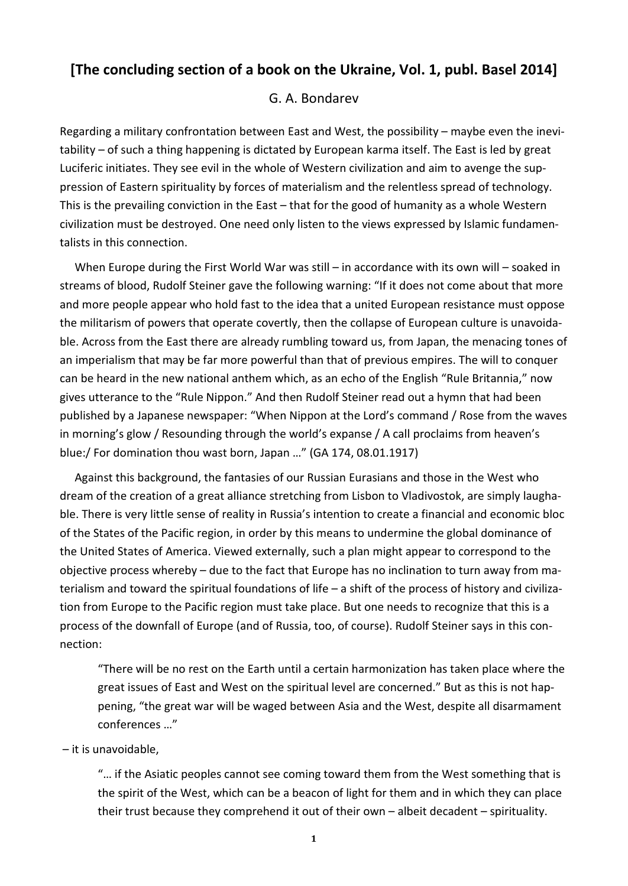# **[The concluding section of a book on the Ukraine, Vol. 1, publ. Basel 2014]**

## G. A. Bondarev

Regarding a military confrontation between East and West, the possibility – maybe even the inevitability – of such a thing happening is dictated by European karma itself. The East is led by great Luciferic initiates. They see evil in the whole of Western civilization and aim to avenge the suppression of Eastern spirituality by forces of materialism and the relentless spread of technology. This is the prevailing conviction in the East – that for the good of humanity as a whole Western civilization must be destroyed. One need only listen to the views expressed by Islamic fundamentalists in this connection.

When Europe during the First World War was still – in accordance with its own will – soaked in streams of blood, Rudolf Steiner gave the following warning: "If it does not come about that more and more people appear who hold fast to the idea that a united European resistance must oppose the militarism of powers that operate covertly, then the collapse of European culture is unavoidable. Across from the East there are already rumbling toward us, from Japan, the menacing tones of an imperialism that may be far more powerful than that of previous empires. The will to conquer can be heard in the new national anthem which, as an echo of the English "Rule Britannia," now gives utterance to the "Rule Nippon." And then Rudolf Steiner read out a hymn that had been published by a Japanese newspaper: "When Nippon at the Lord's command / Rose from the waves in morning's glow / Resounding through the world's expanse / A call proclaims from heaven's blue:/ For domination thou wast born, Japan …" (GA 174, 08.01.1917)

Against this background, the fantasies of our Russian Eurasians and those in the West who dream of the creation of a great alliance stretching from Lisbon to Vladivostok, are simply laughable. There is very little sense of reality in Russia's intention to create a financial and economic bloc of the States of the Pacific region, in order by this means to undermine the global dominance of the United States of America. Viewed externally, such a plan might appear to correspond to the objective process whereby – due to the fact that Europe has no inclination to turn away from materialism and toward the spiritual foundations of life – a shift of the process of history and civilization from Europe to the Pacific region must take place. But one needs to recognize that this is a process of the downfall of Europe (and of Russia, too, of course). Rudolf Steiner says in this connection:

"There will be no rest on the Earth until a certain harmonization has taken place where the great issues of East and West on the spiritual level are concerned." But as this is not happening, "the great war will be waged between Asia and the West, despite all disarmament conferences …"

#### – it is unavoidable,

"… if the Asiatic peoples cannot see coming toward them from the West something that is the spirit of the West, which can be a beacon of light for them and in which they can place their trust because they comprehend it out of their own – albeit decadent – spirituality.

**1**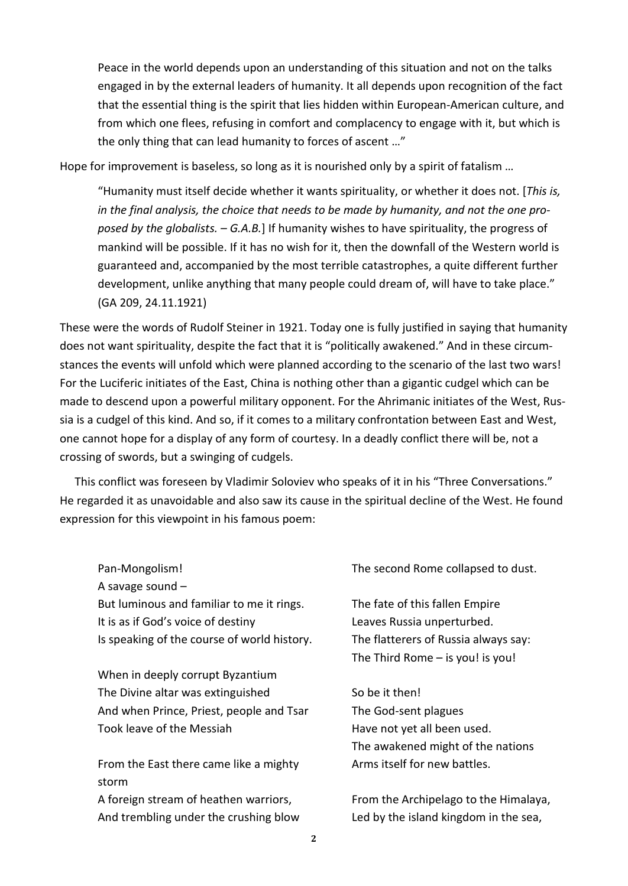Peace in the world depends upon an understanding of this situation and not on the talks engaged in by the external leaders of humanity. It all depends upon recognition of the fact that the essential thing is the spirit that lies hidden within European-American culture, and from which one flees, refusing in comfort and complacency to engage with it, but which is the only thing that can lead humanity to forces of ascent …"

Hope for improvement is baseless, so long as it is nourished only by a spirit of fatalism ...

"Humanity must itself decide whether it wants spirituality, or whether it does not. [*This is, in the final analysis, the choice that needs to be made by humanity, and not the one proposed by the globalists. – G.A.B.*] If humanity wishes to have spirituality, the progress of mankind will be possible. If it has no wish for it, then the downfall of the Western world is guaranteed and, accompanied by the most terrible catastrophes, a quite different further development, unlike anything that many people could dream of, will have to take place." (GA 209, 24.11.1921)

These were the words of Rudolf Steiner in 1921. Today one is fully justified in saying that humanity does not want spirituality, despite the fact that it is "politically awakened." And in these circumstances the events will unfold which were planned according to the scenario of the last two wars! For the Luciferic initiates of the East, China is nothing other than a gigantic cudgel which can be made to descend upon a powerful military opponent. For the Ahrimanic initiates of the West, Russia is a cudgel of this kind. And so, if it comes to a military confrontation between East and West, one cannot hope for a display of any form of courtesy. In a deadly conflict there will be, not a crossing of swords, but a swinging of cudgels.

This conflict was foreseen by Vladimir Soloviev who speaks of it in his "Three Conversations." He regarded it as unavoidable and also saw its cause in the spiritual decline of the West. He found expression for this viewpoint in his famous poem:

Pan-Mongolism! A savage sound – But luminous and familiar to me it rings. It is as if God's voice of destiny Is speaking of the course of world history.

When in deeply corrupt Byzantium The Divine altar was extinguished And when Prince, Priest, people and Tsar Took leave of the Messiah

From the East there came like a mighty storm A foreign stream of heathen warriors, And trembling under the crushing blow

The second Rome collapsed to dust.

The fate of this fallen Empire Leaves Russia unperturbed. The flatterers of Russia always say: The Third Rome – is you! is you!

So be it then! The God-sent plagues Have not yet all been used. The awakened might of the nations Arms itself for new battles.

From the Archipelago to the Himalaya, Led by the island kingdom in the sea,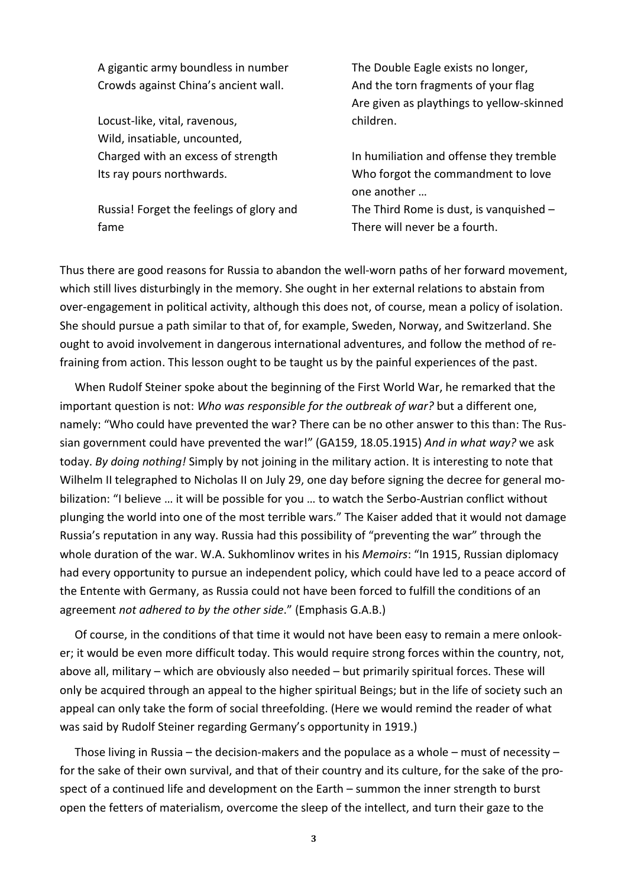A gigantic army boundless in number Crowds against China's ancient wall.

Locust-like, vital, ravenous, Wild, insatiable, uncounted, Charged with an excess of strength Its ray pours northwards.

Russia! Forget the feelings of glory and fame

The Double Eagle exists no longer, And the torn fragments of your flag Are given as playthings to yellow-skinned children.

In humiliation and offense they tremble Who forgot the commandment to love one another …

The Third Rome is dust, is vanquished – There will never be a fourth.

Thus there are good reasons for Russia to abandon the well-worn paths of her forward movement, which still lives disturbingly in the memory. She ought in her external relations to abstain from over-engagement in political activity, although this does not, of course, mean a policy of isolation. She should pursue a path similar to that of, for example, Sweden, Norway, and Switzerland. She ought to avoid involvement in dangerous international adventures, and follow the method of refraining from action. This lesson ought to be taught us by the painful experiences of the past.

When Rudolf Steiner spoke about the beginning of the First World War, he remarked that the important question is not: *Who was responsible for the outbreak of war?* but a different one, namely: "Who could have prevented the war? There can be no other answer to this than: The Russian government could have prevented the war!" (GA159, 18.05.1915) *And in what way?* we ask today. *By doing nothing!* Simply by not joining in the military action. It is interesting to note that Wilhelm II telegraphed to Nicholas II on July 29, one day before signing the decree for general mobilization: "I believe … it will be possible for you … to watch the Serbo-Austrian conflict without plunging the world into one of the most terrible wars." The Kaiser added that it would not damage Russia's reputation in any way. Russia had this possibility of "preventing the war" through the whole duration of the war. W.A. Sukhomlinov writes in his *Memoirs*: "In 1915, Russian diplomacy had every opportunity to pursue an independent policy, which could have led to a peace accord of the Entente with Germany, as Russia could not have been forced to fulfill the conditions of an agreement *not adhered to by the other side*." (Emphasis G.A.B.)

Of course, in the conditions of that time it would not have been easy to remain a mere onlooker; it would be even more difficult today. This would require strong forces within the country, not, above all, military – which are obviously also needed – but primarily spiritual forces. These will only be acquired through an appeal to the higher spiritual Beings; but in the life of society such an appeal can only take the form of social threefolding. (Here we would remind the reader of what was said by Rudolf Steiner regarding Germany's opportunity in 1919.)

Those living in Russia – the decision-makers and the populace as a whole – must of necessity – for the sake of their own survival, and that of their country and its culture, for the sake of the prospect of a continued life and development on the Earth – summon the inner strength to burst open the fetters of materialism, overcome the sleep of the intellect, and turn their gaze to the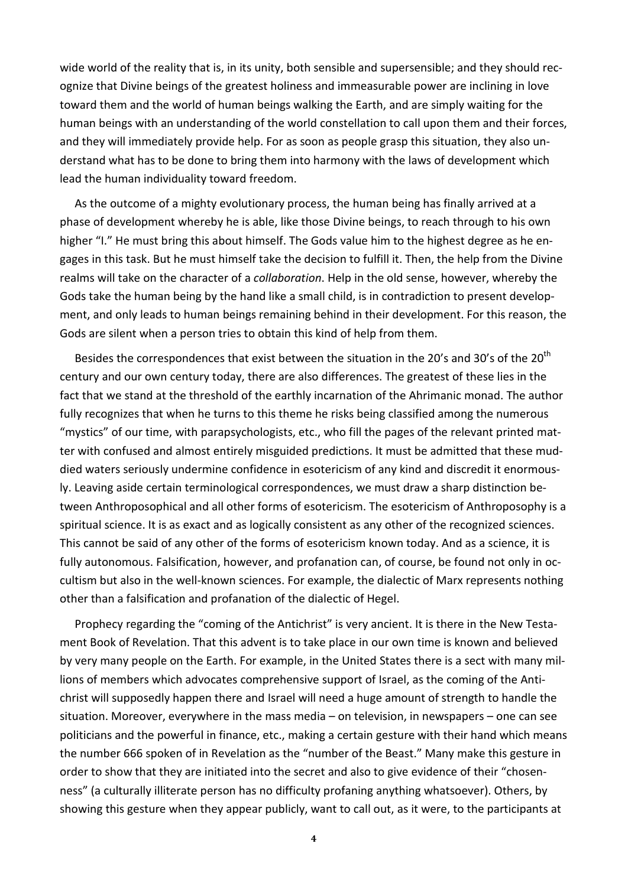wide world of the reality that is, in its unity, both sensible and supersensible; and they should recognize that Divine beings of the greatest holiness and immeasurable power are inclining in love toward them and the world of human beings walking the Earth, and are simply waiting for the human beings with an understanding of the world constellation to call upon them and their forces, and they will immediately provide help. For as soon as people grasp this situation, they also understand what has to be done to bring them into harmony with the laws of development which lead the human individuality toward freedom.

As the outcome of a mighty evolutionary process, the human being has finally arrived at a phase of development whereby he is able, like those Divine beings, to reach through to his own higher "I." He must bring this about himself. The Gods value him to the highest degree as he engages in this task. But he must himself take the decision to fulfill it. Then, the help from the Divine realms will take on the character of a *collaboration*. Help in the old sense, however, whereby the Gods take the human being by the hand like a small child, is in contradiction to present development, and only leads to human beings remaining behind in their development. For this reason, the Gods are silent when a person tries to obtain this kind of help from them.

Besides the correspondences that exist between the situation in the 20's and 30's of the  $20<sup>th</sup>$ century and our own century today, there are also differences. The greatest of these lies in the fact that we stand at the threshold of the earthly incarnation of the Ahrimanic monad. The author fully recognizes that when he turns to this theme he risks being classified among the numerous "mystics" of our time, with parapsychologists, etc., who fill the pages of the relevant printed matter with confused and almost entirely misguided predictions. It must be admitted that these muddied waters seriously undermine confidence in esotericism of any kind and discredit it enormously. Leaving aside certain terminological correspondences, we must draw a sharp distinction between Anthroposophical and all other forms of esotericism. The esotericism of Anthroposophy is a spiritual science. It is as exact and as logically consistent as any other of the recognized sciences. This cannot be said of any other of the forms of esotericism known today. And as a science, it is fully autonomous. Falsification, however, and profanation can, of course, be found not only in occultism but also in the well-known sciences. For example, the dialectic of Marx represents nothing other than a falsification and profanation of the dialectic of Hegel.

Prophecy regarding the "coming of the Antichrist" is very ancient. It is there in the New Testament Book of Revelation. That this advent is to take place in our own time is known and believed by very many people on the Earth. For example, in the United States there is a sect with many millions of members which advocates comprehensive support of Israel, as the coming of the Antichrist will supposedly happen there and Israel will need a huge amount of strength to handle the situation. Moreover, everywhere in the mass media – on television, in newspapers – one can see politicians and the powerful in finance, etc., making a certain gesture with their hand which means the number 666 spoken of in Revelation as the "number of the Beast." Many make this gesture in order to show that they are initiated into the secret and also to give evidence of their "chosenness" (a culturally illiterate person has no difficulty profaning anything whatsoever). Others, by showing this gesture when they appear publicly, want to call out, as it were, to the participants at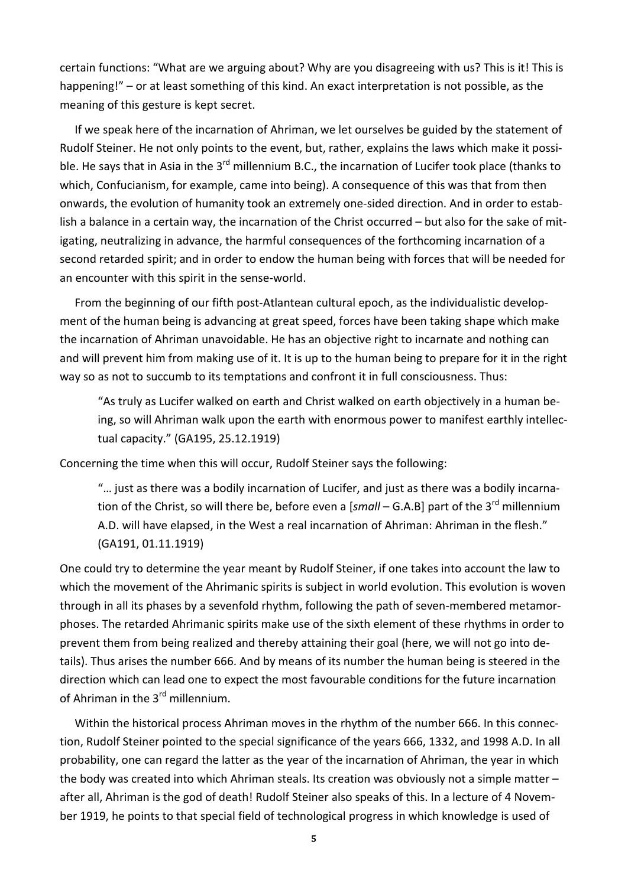certain functions: "What are we arguing about? Why are you disagreeing with us? This is it! This is happening!" – or at least something of this kind. An exact interpretation is not possible, as the meaning of this gesture is kept secret.

If we speak here of the incarnation of Ahriman, we let ourselves be guided by the statement of Rudolf Steiner. He not only points to the event, but, rather, explains the laws which make it possible. He says that in Asia in the 3<sup>rd</sup> millennium B.C., the incarnation of Lucifer took place (thanks to which, Confucianism, for example, came into being). A consequence of this was that from then onwards, the evolution of humanity took an extremely one-sided direction. And in order to establish a balance in a certain way, the incarnation of the Christ occurred – but also for the sake of mitigating, neutralizing in advance, the harmful consequences of the forthcoming incarnation of a second retarded spirit; and in order to endow the human being with forces that will be needed for an encounter with this spirit in the sense-world.

From the beginning of our fifth post-Atlantean cultural epoch, as the individualistic development of the human being is advancing at great speed, forces have been taking shape which make the incarnation of Ahriman unavoidable. He has an objective right to incarnate and nothing can and will prevent him from making use of it. It is up to the human being to prepare for it in the right way so as not to succumb to its temptations and confront it in full consciousness. Thus:

"As truly as Lucifer walked on earth and Christ walked on earth objectively in a human being, so will Ahriman walk upon the earth with enormous power to manifest earthly intellectual capacity." (GA195, 25.12.1919)

Concerning the time when this will occur, Rudolf Steiner says the following:

"… just as there was a bodily incarnation of Lucifer, and just as there was a bodily incarnation of the Christ, so will there be, before even a [small – G.A.B] part of the 3<sup>rd</sup> millennium A.D. will have elapsed, in the West a real incarnation of Ahriman: Ahriman in the flesh." (GA191, 01.11.1919)

One could try to determine the year meant by Rudolf Steiner, if one takes into account the law to which the movement of the Ahrimanic spirits is subject in world evolution. This evolution is woven through in all its phases by a sevenfold rhythm, following the path of seven-membered metamorphoses. The retarded Ahrimanic spirits make use of the sixth element of these rhythms in order to prevent them from being realized and thereby attaining their goal (here, we will not go into details). Thus arises the number 666. And by means of its number the human being is steered in the direction which can lead one to expect the most favourable conditions for the future incarnation of Ahriman in the 3<sup>rd</sup> millennium.

Within the historical process Ahriman moves in the rhythm of the number 666. In this connection, Rudolf Steiner pointed to the special significance of the years 666, 1332, and 1998 A.D. In all probability, one can regard the latter as the year of the incarnation of Ahriman, the year in which the body was created into which Ahriman steals. Its creation was obviously not a simple matter – after all, Ahriman is the god of death! Rudolf Steiner also speaks of this. In a lecture of 4 November 1919, he points to that special field of technological progress in which knowledge is used of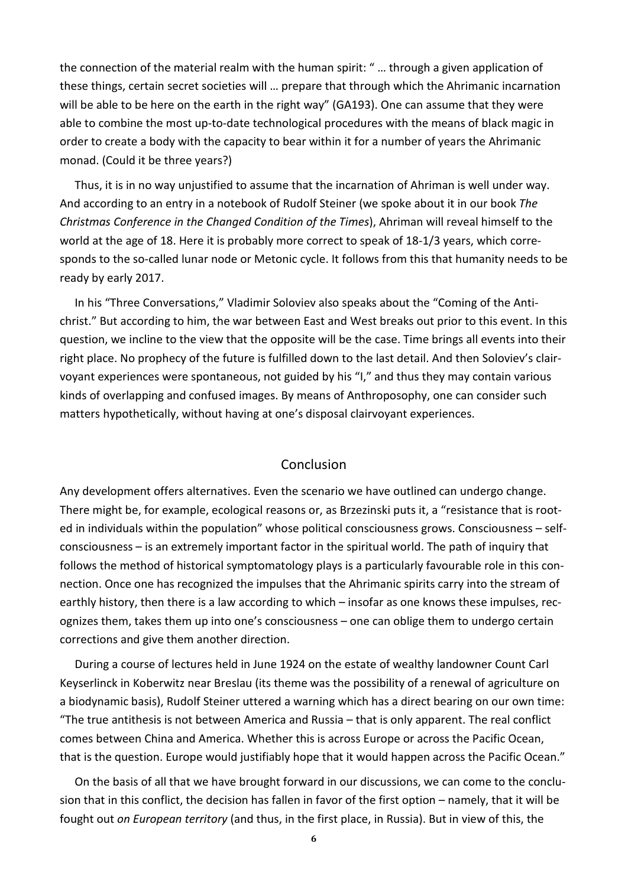the connection of the material realm with the human spirit: " … through a given application of these things, certain secret societies will … prepare that through which the Ahrimanic incarnation will be able to be here on the earth in the right way" (GA193). One can assume that they were able to combine the most up-to-date technological procedures with the means of black magic in order to create a body with the capacity to bear within it for a number of years the Ahrimanic monad. (Could it be three years?)

Thus, it is in no way unjustified to assume that the incarnation of Ahriman is well under way. And according to an entry in a notebook of Rudolf Steiner (we spoke about it in our book *The Christmas Conference in the Changed Condition of the Times*), Ahriman will reveal himself to the world at the age of 18. Here it is probably more correct to speak of 18-1/3 years, which corresponds to the so-called lunar node or Metonic cycle. It follows from this that humanity needs to be ready by early 2017.

In his "Three Conversations," Vladimir Soloviev also speaks about the "Coming of the Antichrist." But according to him, the war between East and West breaks out prior to this event. In this question, we incline to the view that the opposite will be the case. Time brings all events into their right place. No prophecy of the future is fulfilled down to the last detail. And then Soloviev's clairvoyant experiences were spontaneous, not guided by his "I," and thus they may contain various kinds of overlapping and confused images. By means of Anthroposophy, one can consider such matters hypothetically, without having at one's disposal clairvoyant experiences.

### Conclusion

Any development offers alternatives. Even the scenario we have outlined can undergo change. There might be, for example, ecological reasons or, as Brzezinski puts it, a "resistance that is rooted in individuals within the population" whose political consciousness grows. Consciousness – selfconsciousness – is an extremely important factor in the spiritual world. The path of inquiry that follows the method of historical symptomatology plays is a particularly favourable role in this connection. Once one has recognized the impulses that the Ahrimanic spirits carry into the stream of earthly history, then there is a law according to which – insofar as one knows these impulses, recognizes them, takes them up into one's consciousness – one can oblige them to undergo certain corrections and give them another direction.

During a course of lectures held in June 1924 on the estate of wealthy landowner Count Carl Keyserlinck in Koberwitz near Breslau (its theme was the possibility of a renewal of agriculture on a biodynamic basis), Rudolf Steiner uttered a warning which has a direct bearing on our own time: "The true antithesis is not between America and Russia – that is only apparent. The real conflict comes between China and America. Whether this is across Europe or across the Pacific Ocean, that is the question. Europe would justifiably hope that it would happen across the Pacific Ocean."

On the basis of all that we have brought forward in our discussions, we can come to the conclusion that in this conflict, the decision has fallen in favor of the first option – namely, that it will be fought out *on European territory* (and thus, in the first place, in Russia). But in view of this, the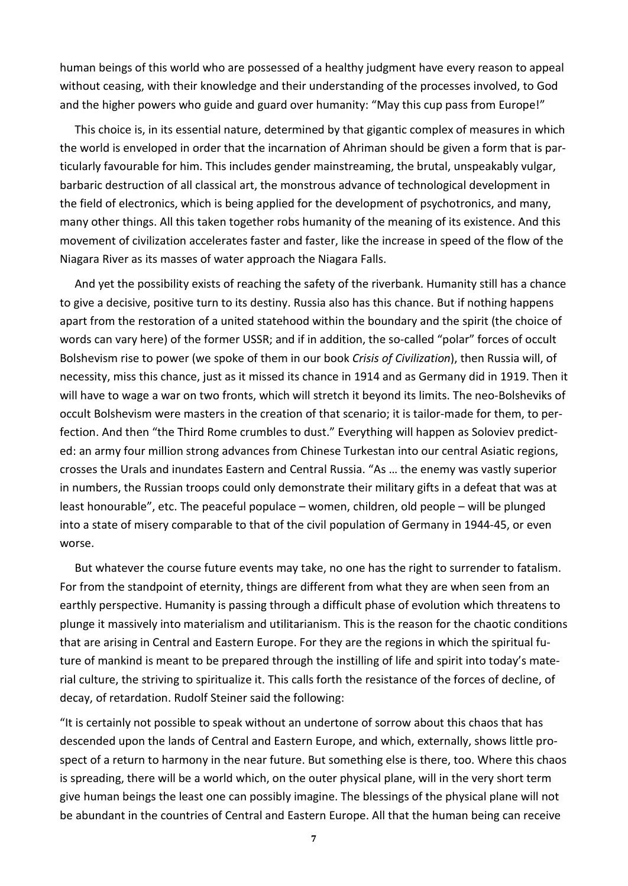human beings of this world who are possessed of a healthy judgment have every reason to appeal without ceasing, with their knowledge and their understanding of the processes involved, to God and the higher powers who guide and guard over humanity: "May this cup pass from Europe!"

This choice is, in its essential nature, determined by that gigantic complex of measures in which the world is enveloped in order that the incarnation of Ahriman should be given a form that is particularly favourable for him. This includes gender mainstreaming, the brutal, unspeakably vulgar, barbaric destruction of all classical art, the monstrous advance of technological development in the field of electronics, which is being applied for the development of psychotronics, and many, many other things. All this taken together robs humanity of the meaning of its existence. And this movement of civilization accelerates faster and faster, like the increase in speed of the flow of the Niagara River as its masses of water approach the Niagara Falls.

And yet the possibility exists of reaching the safety of the riverbank. Humanity still has a chance to give a decisive, positive turn to its destiny. Russia also has this chance. But if nothing happens apart from the restoration of a united statehood within the boundary and the spirit (the choice of words can vary here) of the former USSR; and if in addition, the so-called "polar" forces of occult Bolshevism rise to power (we spoke of them in our book *Crisis of Civilization*), then Russia will, of necessity, miss this chance, just as it missed its chance in 1914 and as Germany did in 1919. Then it will have to wage a war on two fronts, which will stretch it beyond its limits. The neo-Bolsheviks of occult Bolshevism were masters in the creation of that scenario; it is tailor-made for them, to perfection. And then "the Third Rome crumbles to dust." Everything will happen as Soloviev predicted: an army four million strong advances from Chinese Turkestan into our central Asiatic regions, crosses the Urals and inundates Eastern and Central Russia. "As … the enemy was vastly superior in numbers, the Russian troops could only demonstrate their military gifts in a defeat that was at least honourable", etc. The peaceful populace – women, children, old people – will be plunged into a state of misery comparable to that of the civil population of Germany in 1944-45, or even worse.

But whatever the course future events may take, no one has the right to surrender to fatalism. For from the standpoint of eternity, things are different from what they are when seen from an earthly perspective. Humanity is passing through a difficult phase of evolution which threatens to plunge it massively into materialism and utilitarianism. This is the reason for the chaotic conditions that are arising in Central and Eastern Europe. For they are the regions in which the spiritual future of mankind is meant to be prepared through the instilling of life and spirit into today's material culture, the striving to spiritualize it. This calls forth the resistance of the forces of decline, of decay, of retardation. Rudolf Steiner said the following:

"It is certainly not possible to speak without an undertone of sorrow about this chaos that has descended upon the lands of Central and Eastern Europe, and which, externally, shows little prospect of a return to harmony in the near future. But something else is there, too. Where this chaos is spreading, there will be a world which, on the outer physical plane, will in the very short term give human beings the least one can possibly imagine. The blessings of the physical plane will not be abundant in the countries of Central and Eastern Europe. All that the human being can receive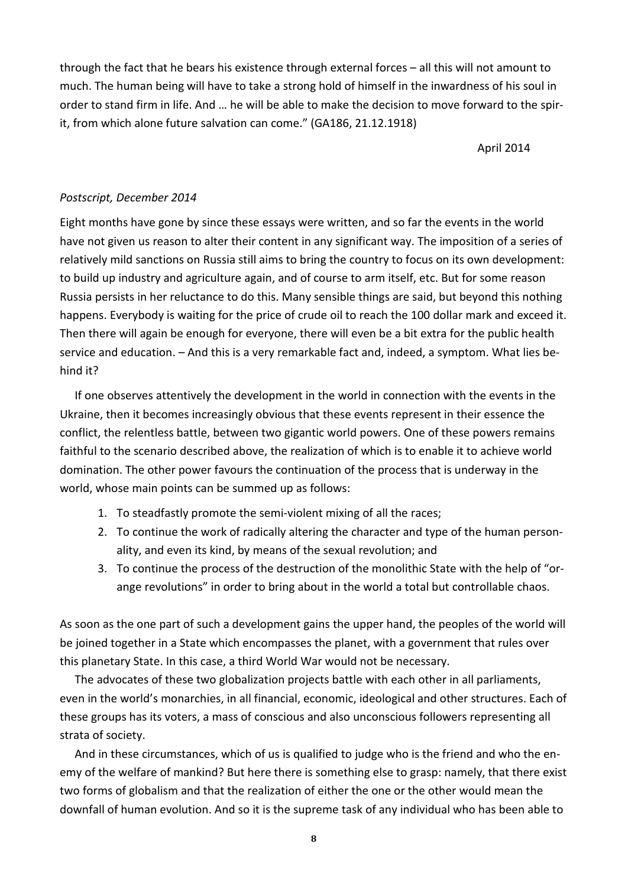through the fact that he bears his existence through external forces – all this will not amount to much. The human being will have to take a strong hold of himself in the inwardness of his soul in order to stand firm in life. And … he will be able to make the decision to move forward to the spirit, from which alone future salvation can come." (GA186, 21.12.1918)

April 2014

## *Postscript, December 2014*

Eight months have gone by since these essays were written, and so far the events in the world have not given us reason to alter their content in any significant way. The imposition of a series of relatively mild sanctions on Russia still aims to bring the country to focus on its own development: to build up industry and agriculture again, and of course to arm itself, etc. But for some reason Russia persists in her reluctance to do this. Many sensible things are said, but beyond this nothing happens. Everybody is waiting for the price of crude oil to reach the 100 dollar mark and exceed it. Then there will again be enough for everyone, there will even be a bit extra for the public health service and education. – And this is a very remarkable fact and, indeed, a symptom. What lies behind it?

If one observes attentively the development in the world in connection with the events in the Ukraine, then it becomes increasingly obvious that these events represent in their essence the conflict, the relentless battle, between two gigantic world powers. One of these powers remains faithful to the scenario described above, the realization of which is to enable it to achieve world domination. The other power favours the continuation of the process that is underway in the world, whose main points can be summed up as follows:

- 1. To steadfastly promote the semi-violent mixing of all the races;
- 2. To continue the work of radically altering the character and type of the human personality, and even its kind, by means of the sexual revolution; and
- 3. To continue the process of the destruction of the monolithic State with the help of "orange revolutions" in order to bring about in the world a total but controllable chaos.

As soon as the one part of such a development gains the upper hand, the peoples of the world will be joined together in a State which encompasses the planet, with a government that rules over this planetary State. In this case, a third World War would not be necessary.

The advocates of these two globalization projects battle with each other in all parliaments, even in the world's monarchies, in all financial, economic, ideological and other structures. Each of these groups has its voters, a mass of conscious and also unconscious followers representing all strata of society.

And in these circumstances, which of us is qualified to judge who is the friend and who the enemy of the welfare of mankind? But here there is something else to grasp: namely, that there exist two forms of globalism and that the realization of either the one or the other would mean the downfall of human evolution. And so it is the supreme task of any individual who has been able to